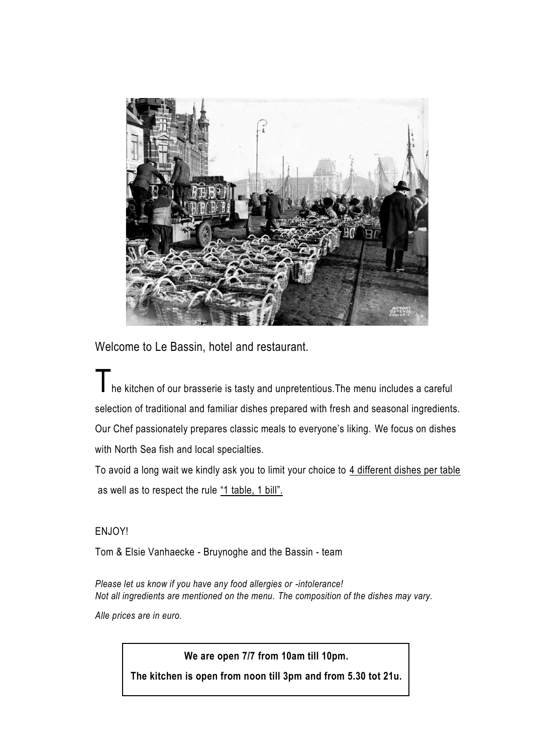

Welcome to Le Bassin, hotel and restaurant.

I he kitchen of our brasserie is tasty and unpretentious. The menu includes a careful selection of traditional and familiar dishes prepared with fresh and seasonal ingredients. Our Chef passionately prepares classic meals to everyone's liking. We focus on dishes with North Sea fish and local specialties.

To avoid a long wait we kindly ask you to limit your choice to 4 different dishes per table as well as to respect the rule "1 table, 1 bill".

#### ENJOY!

Tom & Elsie Vanhaecke - Bruynoghe and the Bassin - team

*Please let us know if you have any food allergies or -intolerance! Not all ingredients are mentioned on the menu. The composition of the dishes may vary. Alle prices are in euro.*

**We are open 7/7 from 10am till 10pm.**

**The kitchen is open from noon till 3pm and from 5.30 tot 21u.**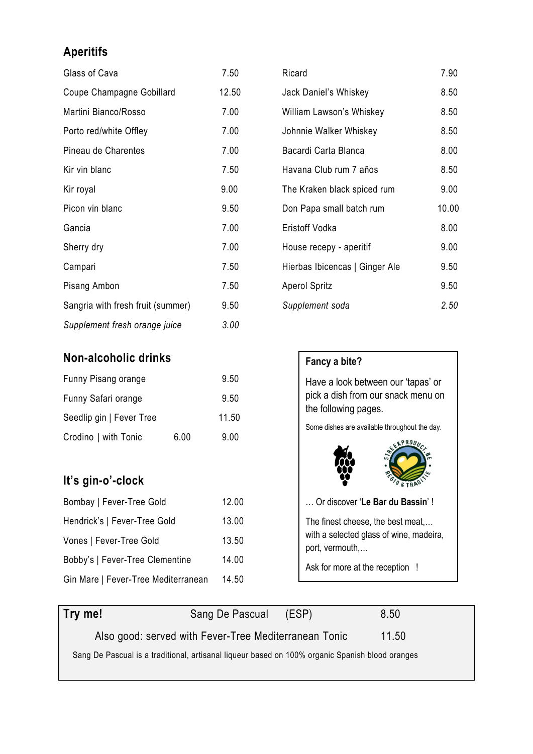# **Aperitifs**

| Glass of Cava                     | 7.50  |
|-----------------------------------|-------|
| Coupe Champagne Gobillard         | 12.50 |
| Martini Bianco/Rosso              | 7.00  |
| Porto red/white Offley            | 7.00  |
| Pineau de Charentes               | 7.00  |
| Kir vin blanc                     | 7.50  |
| Kir royal                         | 9.00  |
| Picon vin blanc                   | 9.50  |
| Gancia                            | 7.00  |
| Sherry dry                        | 7.00  |
| Campari                           | 7.50  |
| Pisang Ambon                      | 7.50  |
| Sangria with fresh fruit (summer) | 9.50  |
| Supplement fresh orange juice     | 3.00  |

# **Non-alcoholic drinks**

| Funny Pisang orange      |      | 9.50  |
|--------------------------|------|-------|
| Funny Safari orange      |      | 9.50  |
| Seedlip gin   Fever Tree |      | 11.50 |
| Crodino   with Tonic     | 6.00 | 9.00  |

# **It's gin-o'-clock**

| Bombay   Fever-Tree Gold            | 12.00 |
|-------------------------------------|-------|
| Hendrick's   Fever-Tree Gold        | 13.00 |
| Vones   Fever-Tree Gold             | 13.50 |
| Bobby's   Fever-Tree Clementine     | 14.00 |
| Gin Mare   Fever-Tree Mediterranean | 14.50 |

| Ricard                         | 7.90  |
|--------------------------------|-------|
| Jack Daniel's Whiskey          | 8.50  |
| William Lawson's Whiskey       | 8.50  |
| Johnnie Walker Whiskey         | 8.50  |
| Bacardi Carta Blanca           | 8.00  |
| Havana Club rum 7 años         | 8.50  |
| The Kraken black spiced rum    | 9.00  |
| Don Papa small batch rum       | 10.00 |
| Eristoff Vodka                 | 8.00  |
| House recepy - aperitif        | 9.00  |
| Hierbas Ibicencas   Ginger Ale | 9.50  |
| <b>Aperol Spritz</b>           | 9.50  |
| Supplement soda                | 2.50  |



| Try me!                                                                                         | Sang De Pascual                                       | (ESP) | 8.50  |
|-------------------------------------------------------------------------------------------------|-------------------------------------------------------|-------|-------|
|                                                                                                 | Also good: served with Fever-Tree Mediterranean Tonic |       | 11.50 |
| Sang De Pascual is a traditional, artisanal liqueur based on 100% organic Spanish blood oranges |                                                       |       |       |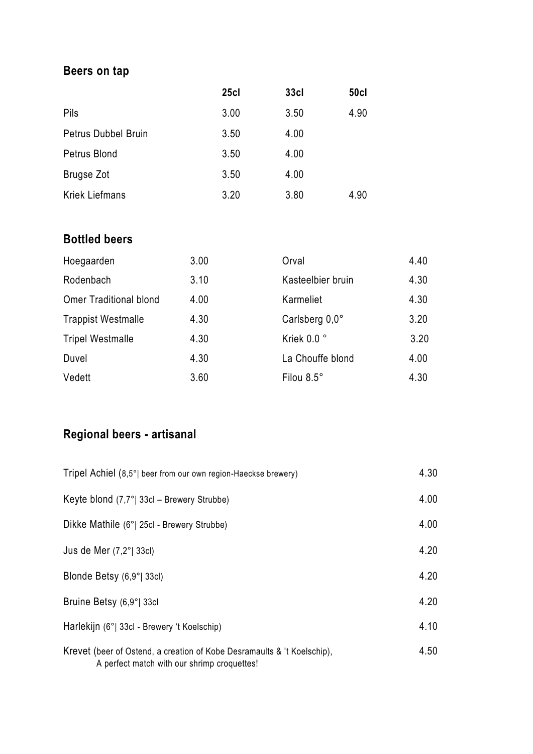# **Beers on tap**

|                            | 25c1 | 33c  | <b>50cl</b> |
|----------------------------|------|------|-------------|
| Pils                       | 3.00 | 3.50 | 4.90        |
| <b>Petrus Dubbel Bruin</b> | 3.50 | 4.00 |             |
| Petrus Blond               | 3.50 | 4.00 |             |
| <b>Brugse Zot</b>          | 3.50 | 4.00 |             |
| <b>Kriek Liefmans</b>      | 3.20 | 3.80 | 4.90        |

# **Bottled beers**

| Hoegaarden                    | 3.00 | Orval             | 4.40 |
|-------------------------------|------|-------------------|------|
| Rodenbach                     | 3.10 | Kasteelbier bruin | 4.30 |
| <b>Omer Traditional blond</b> | 4.00 | Karmeliet         | 4.30 |
| <b>Trappist Westmalle</b>     | 4.30 | Carlsberg 0,0°    | 3.20 |
| <b>Tripel Westmalle</b>       | 4.30 | Kriek 0.0 °       | 3.20 |
| Duvel                         | 4.30 | La Chouffe blond  | 4.00 |
| Vedett                        | 3.60 | Filou 8.5°        | 4.30 |

# **Regional beers - artisanal**

| Tripel Achiel (8,5°) beer from our own region-Haeckse brewery)                                                         | 4.30 |
|------------------------------------------------------------------------------------------------------------------------|------|
| Keyte blond $(7,7^{\circ})$ 33cl – Brewery Strubbe)                                                                    | 4.00 |
| Dikke Mathile (6°  25cl - Brewery Strubbe)                                                                             | 4.00 |
| Jus de Mer $(7,2^{\circ}$   33 $\text{cl}$ )                                                                           | 4.20 |
| Blonde Betsy (6,9°  33cl)                                                                                              | 4.20 |
| Bruine Betsy (6,9°  33cl                                                                                               | 4.20 |
| Harlekijn (6°  33cl - Brewery 't Koelschip)                                                                            | 4.10 |
| Krevet (beer of Ostend, a creation of Kobe Desramaults & 't Koelschip),<br>A perfect match with our shrimp croquettes! | 4.50 |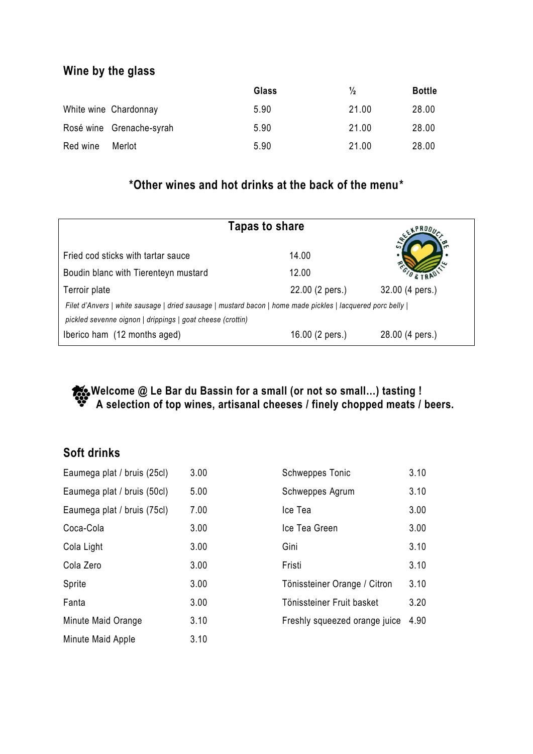# **Wine by the glass**

|          |                          | Glass | $\frac{1}{2}$ | <b>Bottle</b> |
|----------|--------------------------|-------|---------------|---------------|
|          | White wine Chardonnay    | 5.90  | 21.00         | 28.00         |
|          | Rosé wine Grenache-syrah | 5.90  | 21.00         | 28.00         |
| Red wine | Merlot                   | 5.90  | 21.00         | 28.00         |

# **\*Other wines and hot drinks at the back of the menu\***

| Tapas to share                                                                                                                                                            |                 | EXPRODI         |
|---------------------------------------------------------------------------------------------------------------------------------------------------------------------------|-----------------|-----------------|
| Fried cod sticks with tartar sauce                                                                                                                                        | 14.00           |                 |
| Boudin blanc with Tierenteyn mustard                                                                                                                                      | 12.00           |                 |
| Terroir plate                                                                                                                                                             | 22.00 (2 pers.) | 32.00 (4 pers.) |
| Filet d'Anvers   white sausage   dried sausage   mustard bacon   home made pickles   lacquered porc belly  <br>pickled sevenne oignon   drippings   goat cheese (crottin) |                 |                 |
| Iberico ham (12 months aged)                                                                                                                                              | 16.00 (2 pers.) | 28.00 (4 pers.) |

#### **Welcome @ Le Bar du Bassin for a small (or not so small…) tasting ! A selection of top wines, artisanal cheeses / finely chopped meats / beers.**

### **Soft drinks**

| Eaumega plat / bruis (25cl) | 3.00 | <b>Schweppes Tonic</b>        | 3.10 |
|-----------------------------|------|-------------------------------|------|
| Eaumega plat / bruis (50cl) | 5.00 | Schweppes Agrum               | 3.10 |
| Eaumega plat / bruis (75cl) | 7.00 | Ice Tea                       | 3.00 |
| Coca-Cola                   | 3.00 | Ice Tea Green                 | 3.00 |
| Cola Light                  | 3.00 | Gini                          | 3.10 |
| Cola Zero                   | 3.00 | Fristi                        | 3.10 |
| Sprite                      | 3.00 | Tönissteiner Orange / Citron  | 3.10 |
| Fanta                       | 3.00 | Tönissteiner Fruit basket     | 3.20 |
| Minute Maid Orange          | 3.10 | Freshly squeezed orange juice | 4.90 |
| Minute Maid Apple           | 3.10 |                               |      |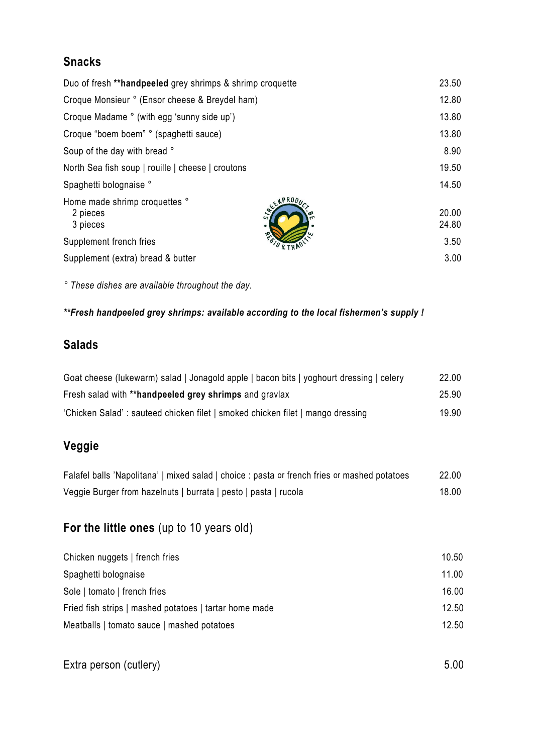# **Snacks**

| Duo of fresh **handpeeled grey shrimps & shrimp croquette         |                |
|-------------------------------------------------------------------|----------------|
| Croque Monsieur ° (Ensor cheese & Breydel ham)                    | 12.80          |
| Croque Madame ° (with egg 'sunny side up')                        | 13.80          |
| Croque "boem boem" ° (spaghetti sauce)                            | 13.80          |
| Soup of the day with bread °                                      | 8.90           |
| North Sea fish soup   rouille   cheese   croutons                 | 19.50          |
| Spaghetti bolognaise °                                            | 14.50          |
| EXPRODU-<br>Home made shrimp croquettes °<br>2 pieces<br>3 pieces | 20.00<br>24.80 |
| Supplement french fries                                           | 3.50           |
| Supplement (extra) bread & butter                                 | 3.00           |

*° These dishes are available throughout the day.*

#### *\*\*Fresh handpeeled grey shrimps: available according to the local fishermen's supply !*

# **Salads**

| Goat cheese (lukewarm) salad   Jonagold apple   bacon bits   yoghourt dressing   celery | 22.00 |
|-----------------------------------------------------------------------------------------|-------|
| Fresh salad with **handpeeled grey shrimps and gravlax                                  | 25.90 |
| 'Chicken Salad': sauteed chicken filet   smoked chicken filet   mango dressing          | 19.90 |

# **Veggie**

| Falafel balls 'Napolitana'   mixed salad   choice : pasta or french fries or mashed potatoes | 22.00 |
|----------------------------------------------------------------------------------------------|-------|
| Veggie Burger from hazelnuts   burrata   pesto   pasta   rucola                              | 18.00 |

# **For the little ones** (up to 10 years old)

| Chicken nuggets   french fries                         | 10.50 |
|--------------------------------------------------------|-------|
| Spaghetti bolognaise                                   | 11.00 |
| Sole   tomato   french fries                           | 16.00 |
| Fried fish strips   mashed potatoes   tartar home made | 12.50 |
| Meatballs   tomato sauce   mashed potatoes             | 12.50 |

Extra person (cutlery) 5.00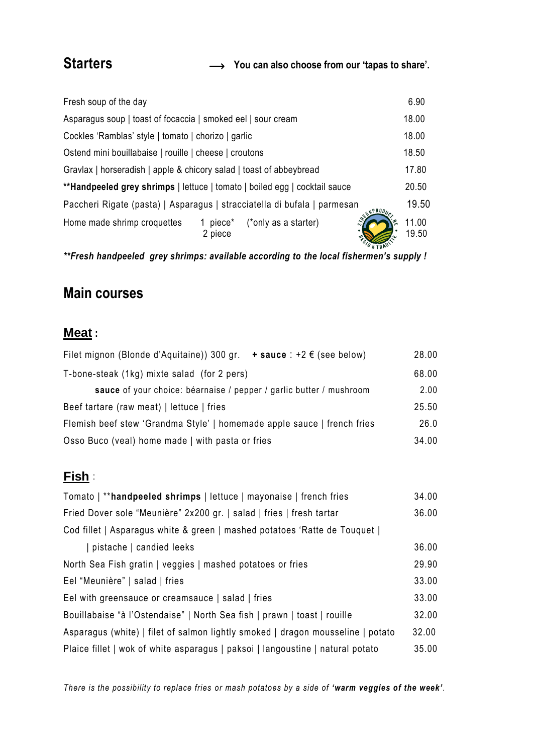**Starters You can also choose from our 'tapas to share'.**

| Fresh soup of the day                                                              | 6.90           |  |  |
|------------------------------------------------------------------------------------|----------------|--|--|
| Asparagus soup   toast of focaccia   smoked eel   sour cream                       |                |  |  |
| Cockles 'Ramblas' style   tomato   chorizo   garlic                                |                |  |  |
| Ostend mini bouillabaise   rouille   cheese   croutons                             |                |  |  |
| 17.80<br>Gravlax   horseradish   apple & chicory salad   toast of abbeybread       |                |  |  |
| **Handpeeled grey shrimps   lettuce   tomato   boiled egg   cocktail sauce         |                |  |  |
| Paccheri Rigate (pasta)   Asparagus   stracciatella di bufala   parmesan<br>EXPROD | 19.50          |  |  |
| (*only as a starter)<br>Home made shrimp croquettes<br>1 piece*<br>2 piece         | 11.00<br>19.50 |  |  |

*\*\*Fresh handpeeled grey shrimps: available according to the local fishermen's supply !*

# **Main courses**

# **Meat :**

| $+$ sauce : $+2 \notin$ (see below)<br>Filet mignon (Blonde d'Aquitaine)) 300 gr. | 28.00 |
|-----------------------------------------------------------------------------------|-------|
| T-bone-steak (1kg) mixte salad (for 2 pers)                                       |       |
| sauce of your choice: béarnaise / pepper / garlic butter / mushroom               |       |
| Beef tartare (raw meat)   lettuce   fries                                         |       |
| Flemish beef stew 'Grandma Style'   homemade apple sauce   french fries           |       |
| Osso Buco (veal) home made   with pasta or fries                                  | 34.00 |

#### **Fish** :

| Tomato   ** handpeeled shrimps   lettuce   mayonaise   french fries             | 34.00 |
|---------------------------------------------------------------------------------|-------|
| Fried Dover sole "Meunière" 2x200 gr.   salad   fries   fresh tartar            |       |
| Cod fillet   Asparagus white & green   mashed potatoes 'Ratte de Touquet        |       |
| pistache   candied leeks                                                        | 36.00 |
| North Sea Fish gratin   veggies   mashed potatoes or fries                      |       |
| Eel "Meunière"   salad   fries                                                  |       |
| Eel with greensauce or creamsauce   salad   fries                               | 33.00 |
| Bouillabaise "à l'Ostendaise"   North Sea fish   prawn   toast   rouille        | 32.00 |
| Asparagus (white)   filet of salmon lightly smoked   dragon mousseline   potato | 32.00 |
| Plaice fillet   wok of white asparagus   paksoi   langoustine   natural potato  |       |

*There is the possibility to replace fries or mash potatoes by a side of 'warm veggies of the week'.*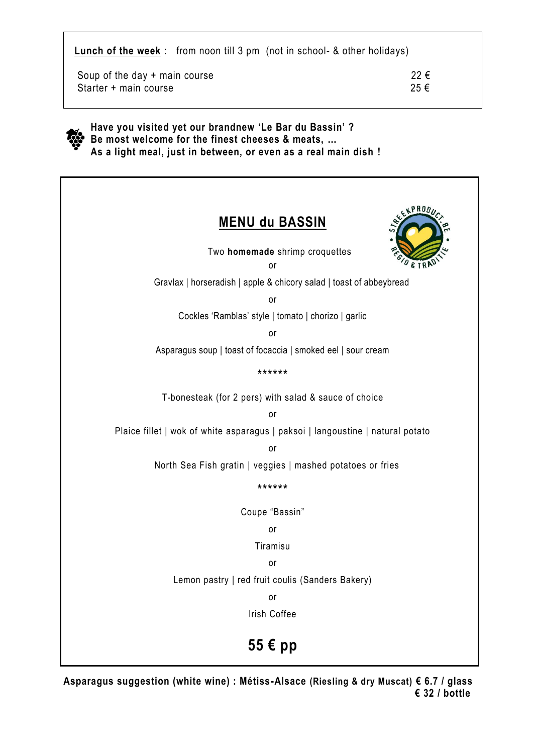**Lunch of the week** : from noon till 3 pm (not in school- & other holidays)

Soup of the day + main course  $22 \in$ Starter + main course  $25 \in$ 



 **Have you visited yet our brandnew 'Le Bar du Bassin' ? Be most welcome for the finest cheeses & meats, … As a light meal, just in between, or even as a real main dish !**



**Asparagus suggestion (white wine) : Métiss-Alsace (Riesling & dry Muscat) € 6.7 / glass € 32 / bottle**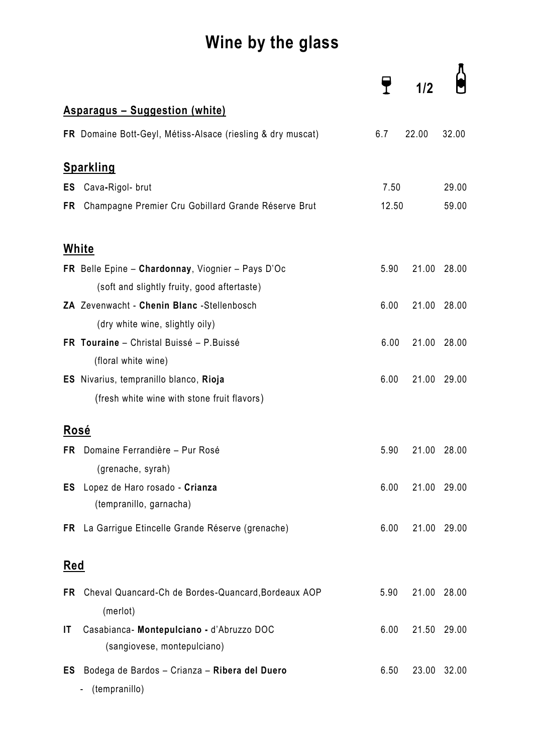# **Wine by the glass**

|             |                                                                 |       | 1/2   |             |
|-------------|-----------------------------------------------------------------|-------|-------|-------------|
|             | <b>Asparagus - Suggestion (white)</b>                           |       |       |             |
|             | FR Domaine Bott-Geyl, Métiss-Alsace (riesling & dry muscat)     | 6.7   | 22.00 | 32.00       |
|             | <u>Sparkling</u>                                                |       |       |             |
| ES          | Cava-Rigol- brut                                                | 7.50  |       | 29.00       |
| FR          | Champagne Premier Cru Gobillard Grande Réserve Brut             | 12.50 |       | 59.00       |
|             | White                                                           |       |       |             |
|             | FR Belle Epine - Chardonnay, Viognier - Pays D'Oc               | 5.90  | 21.00 | 28.00       |
|             | (soft and slightly fruity, good aftertaste)                     |       |       |             |
|             | ZA Zevenwacht - Chenin Blanc - Stellenbosch                     | 6.00  | 21.00 | 28.00       |
|             | (dry white wine, slightly oily)                                 |       |       |             |
|             | FR Touraine - Christal Buissé - P. Buissé                       | 6.00  | 21.00 | 28.00       |
|             | (floral white wine)                                             |       |       |             |
|             | ES Nivarius, tempranillo blanco, Rioja                          | 6.00  | 21.00 | 29.00       |
|             | (fresh white wine with stone fruit flavors)                     |       |       |             |
| <b>Rosé</b> |                                                                 |       |       |             |
| FR          | Domaine Ferrandière - Pur Rosé                                  | 5.90  | 21.00 | 28.00       |
|             | (grenache, syrah)                                               |       |       |             |
| ES          | Lopez de Haro rosado - Crianza<br>(tempranillo, garnacha)       | 6.00  |       | 21.00 29.00 |
| FR          | La Garrigue Etincelle Grande Réserve (grenache)                 | 6.00  |       | 21.00 29.00 |
| <u>Red</u>  |                                                                 |       |       |             |
| FR.         | Cheval Quancard-Ch de Bordes-Quancard, Bordeaux AOP<br>(merlot) | 5.90  |       | 21.00 28.00 |
| IT          | Casabianca- Montepulciano - d'Abruzzo DOC                       | 6.00  | 21.50 | 29.00       |
|             | (sangiovese, montepulciano)                                     |       |       |             |
| ES          | Bodega de Bardos - Crianza - Ribera del Duero<br>(tempranillo)  | 6.50  | 23.00 | 32.00       |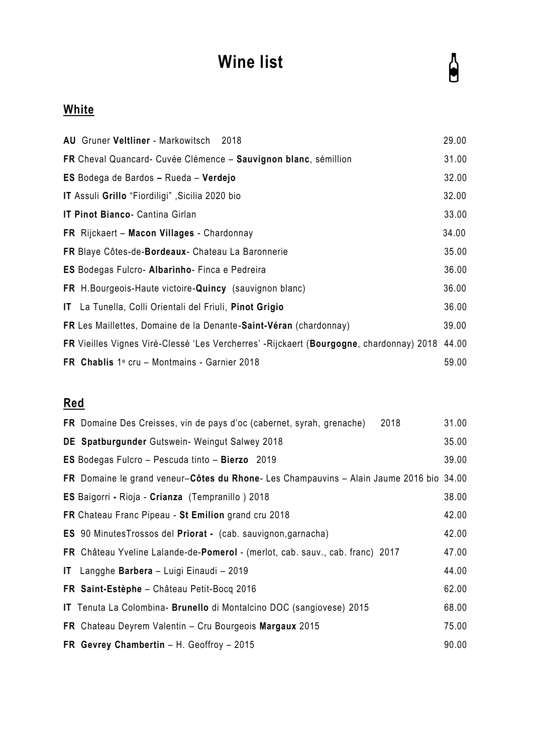# **Wine list**

# $\sum_{i=1}^{n}$

# **White**

| AU Gruner Veltliner - Markowitsch 2018                                                   | 29.00 |
|------------------------------------------------------------------------------------------|-------|
| FR Cheval Quancard- Cuvée Clémence - Sauvignon blanc, sémillion                          | 31.00 |
| ES Bodega de Bardos - Rueda - Verdejo                                                    |       |
| IT Assuli Grillo "Fiordiligi", Sicilia 2020 bio                                          | 32.00 |
| IT Pinot Bianco- Cantina Girlan                                                          | 33.00 |
| FR Rijckaert - Macon Villages - Chardonnay                                               | 34.00 |
| FR Blaye Côtes-de-Bordeaux- Chateau La Baronnerie                                        | 35.00 |
| <b>ES</b> Bodegas Fulcro- Albarinho- Finca e Pedreira                                    | 36.00 |
| FR H. Bourgeois-Haute victoire-Quincy (sauvignon blanc)                                  | 36.00 |
| IT La Tunella, Colli Orientali del Friuli, Pinot Grigio                                  | 36.00 |
| FR Les Maillettes, Domaine de la Denante-Saint-Véran (chardonnay)                        | 39.00 |
| FR Vieilles Vignes Viré-Clessé 'Les Vercherres' - Rijckaert (Bourgogne, chardonnay) 2018 | 44.00 |
| FR Chablis $1^\circ$ cru - Montmains - Garnier 2018                                      | 59.00 |

# **Red**

| 2018<br>FR Domaine Des Creisses, vin de pays d'oc (cabernet, syrah, grenache)          | 31.00 |
|----------------------------------------------------------------------------------------|-------|
| DE Spatburgunder Gutswein- Weingut Salwey 2018                                         | 35.00 |
| ES Bodegas Fulcro - Pescuda tinto - Bierzo 2019                                        | 39.00 |
| FR Domaine le grand veneur-Côtes du Rhone-Les Champauvins - Alain Jaume 2016 bio 34.00 |       |
| ES Baigorri - Rioja - Crianza (Tempranillo) 2018                                       | 38.00 |
| FR Chateau Franc Pipeau - St Emilion grand cru 2018                                    | 42.00 |
| ES 90 Minutes Trossos del Priorat - (cab. sauvignon, garnacha)                         | 42.00 |
| FR Château Yveline Lalande-de-Pomerol - (merlot, cab. sauv., cab. franc) 2017          | 47.00 |
| IT Langghe Barbera - Luigi Einaudi - 2019                                              | 44.00 |
| FR Saint-Estèphe - Château Petit-Bocq 2016                                             | 62.00 |
| IT Tenuta La Colombina- Brunello di Montalcino DOC (sangiovese) 2015                   | 68.00 |
| FR Chateau Deyrem Valentin - Cru Bourgeois Margaux 2015                                | 75.00 |
| FR Gevrey Chambertin - H. Geoffroy - 2015                                              | 90.00 |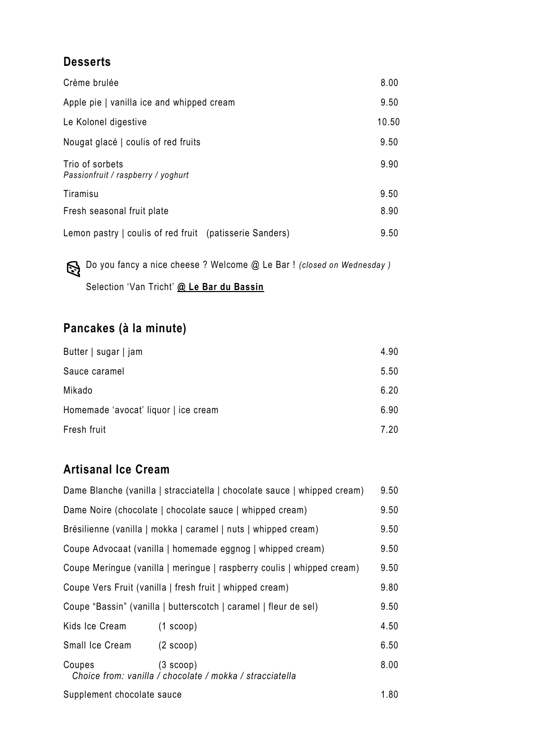## **Desserts**

| Crème brulée                                            | 8.00  |
|---------------------------------------------------------|-------|
| Apple pie   vanilla ice and whipped cream               | 9.50  |
| Le Kolonel digestive                                    | 10.50 |
| Nougat glacé   coulis of red fruits                     | 9.50  |
| Trio of sorbets<br>Passionfruit / raspberry / yoghurt   | 9.90  |
| Tiramisu                                                | 9.50  |
| Fresh seasonal fruit plate                              | 8.90  |
| Lemon pastry   coulis of red fruit (patisserie Sanders) | 9.50  |

 Do you fancy a nice cheese ? Welcome @ Le Bar ! *(closed on Wednesday )* Selection 'Van Tricht' **@ Le Bar du Bassin**

# **Pancakes (à la minute)**

| Butter   sugar   jam                 | 4.90 |
|--------------------------------------|------|
| Sauce caramel                        | 5.50 |
| Mikado                               | 6.20 |
| Homemade 'avocat' liquor   ice cream | 6.90 |
| Fresh fruit                          | 7.20 |

# **Artisanal Ice Cream**

| Dame Blanche (vanilla   stracciatella   chocolate sauce   whipped cream) |                                                                       |      |
|--------------------------------------------------------------------------|-----------------------------------------------------------------------|------|
| Dame Noire (chocolate   chocolate sauce   whipped cream)                 |                                                                       |      |
| Brésilienne (vanilla   mokka   caramel   nuts   whipped cream)           |                                                                       |      |
| Coupe Advocaat (vanilla   homemade eggnog   whipped cream)               |                                                                       |      |
| Coupe Meringue (vanilla   meringue   raspberry coulis   whipped cream)   |                                                                       |      |
| Coupe Vers Fruit (vanilla   fresh fruit   whipped cream)                 |                                                                       |      |
| Coupe "Bassin" (vanilla   butterscotch   caramel   fleur de sel)         |                                                                       |      |
| Kids Ice Cream                                                           | $(1$ scoop)                                                           | 4.50 |
| Small Ice Cream                                                          | $(2 \text{ scoop})$                                                   | 6.50 |
| Coupes                                                                   | (3 scoop)<br>Choice from: vanilla / chocolate / mokka / stracciatella | 8.00 |
| Supplement chocolate sauce                                               |                                                                       | 1.80 |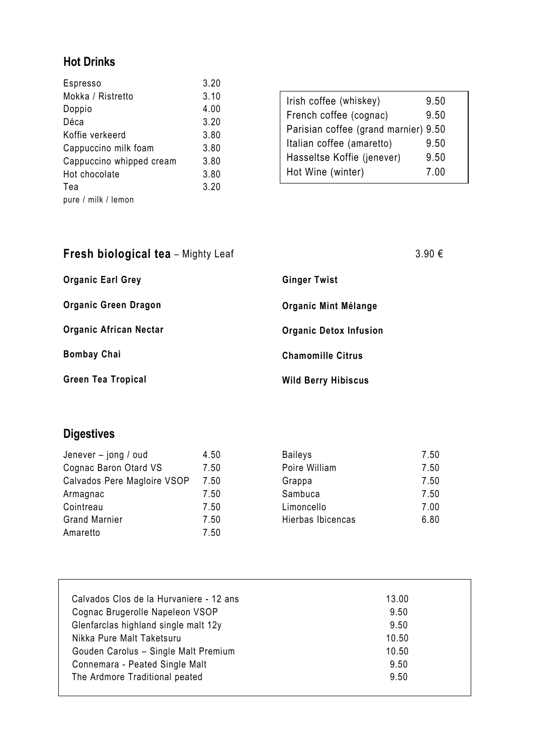# **Hot Drinks**

| Espresso                 | 3.20 |
|--------------------------|------|
| Mokka / Ristretto        | 3.10 |
| Doppio                   | 4.00 |
| Déca                     | 3.20 |
| Koffie verkeerd          | 3.80 |
| Cappuccino milk foam     | 3.80 |
| Cappuccino whipped cream | 3.80 |
| Hot chocolate            | 3.80 |
| Tea                      | 3.20 |
| pure / milk / lemon      |      |

| Irish coffee (whiskey)               | 9.50 |
|--------------------------------------|------|
| French coffee (cognac)               | 9.50 |
| Parisian coffee (grand marnier) 9.50 |      |
| Italian coffee (amaretto)            | 9.50 |
| Hasseltse Koffie (jenever)           | 9.50 |
| Hot Wine (winter)                    | 7.00 |

| <b>Fresh biological tea</b> - Mighty Leaf |                               | 3.90€ |
|-------------------------------------------|-------------------------------|-------|
| <b>Organic Earl Grey</b>                  | <b>Ginger Twist</b>           |       |
| <b>Organic Green Dragon</b>               | Organic Mint Mélange          |       |
| <b>Organic African Nectar</b>             | <b>Organic Detox Infusion</b> |       |
| <b>Bombay Chai</b>                        | <b>Chamomille Citrus</b>      |       |
| <b>Green Tea Tropical</b>                 | <b>Wild Berry Hibiscus</b>    |       |

# **Digestives**

| Jenever - jong / oud        | 4.50 | R |
|-----------------------------|------|---|
| Cognac Baron Otard VS       | 7.50 | P |
| Calvados Pere Magloire VSOP | 7.50 | G |
| Armagnac                    | 7.50 | S |
| Cointreau                   | 7.50 | L |
| <b>Grand Marnier</b>        | 7.50 | Н |
| Amaretto                    | 7.50 |   |
|                             |      |   |

| <b>Baileys</b>    | 7.50 |
|-------------------|------|
| Poire William     | 7.50 |
| Grappa            | 7.50 |
| Sambuca           | 7.50 |
| Limoncello        | 7.00 |
| Hierbas Ibicencas | 6.80 |

| Calvados Clos de la Hurvaniere - 12 ans | 13.00 |
|-----------------------------------------|-------|
| Cognac Brugerolle Napeleon VSOP         | 9.50  |
| Glenfarclas highland single malt 12y    | 9.50  |
| Nikka Pure Malt Taketsuru               | 10.50 |
| Gouden Carolus - Single Malt Premium    | 10.50 |
| Connemara - Peated Single Malt          | 9.50  |
| The Ardmore Traditional peated          | 9.50  |